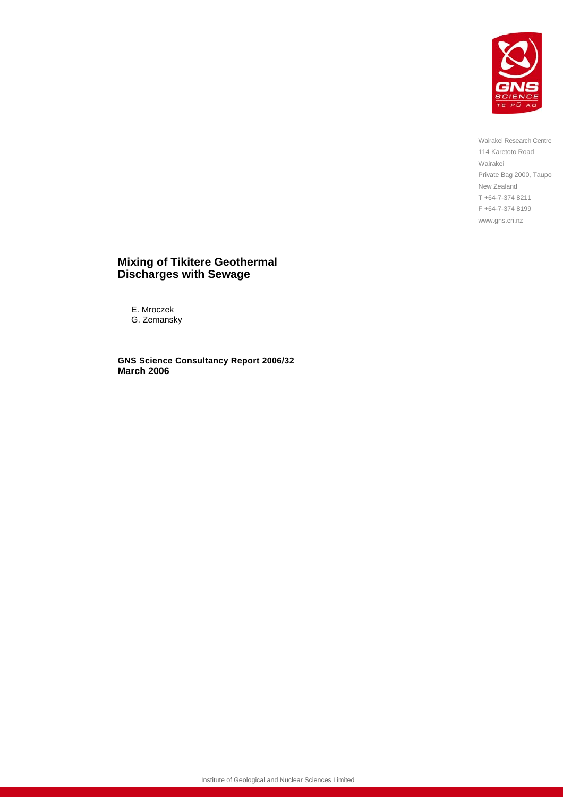

Wairakei Research Centre 114 Karetoto Road Wairakei Private Bag 2000, Taupo New Zealand T +64-7-374 8211 F +64-7-374 8199 www.gns.cri.nz

#### **Mixing of Tikitere Geothermal Discharges with Sewage**

E. Mroczek G. Zemansky

**GNS Science Consultancy Report 2006/32 March 2006**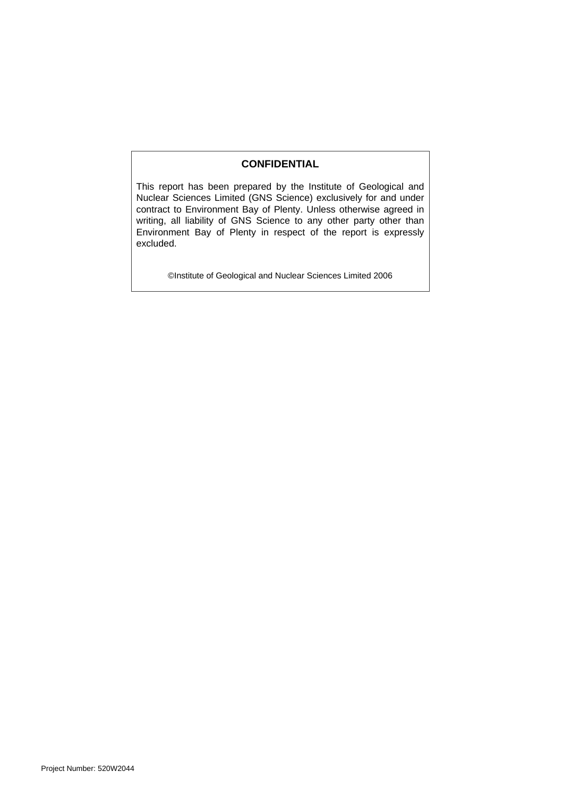#### **CONFIDENTIAL**

This report has been prepared by the Institute of Geological and Nuclear Sciences Limited (GNS Science) exclusively for and under contract to Environment Bay of Plenty. Unless otherwise agreed in writing, all liability of GNS Science to any other party other than Environment Bay of Plenty in respect of the report is expressly excluded.

©Institute of Geological and Nuclear Sciences Limited 2006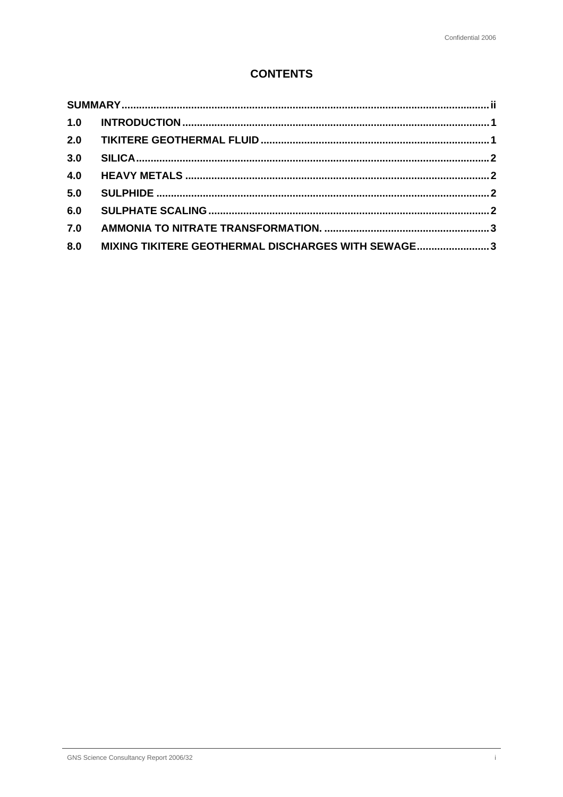# **CONTENTS**

| 1.0 |                                                    |  |
|-----|----------------------------------------------------|--|
| 2.0 |                                                    |  |
| 3.0 |                                                    |  |
| 4.0 |                                                    |  |
| 5.0 |                                                    |  |
| 6.0 |                                                    |  |
| 7.0 |                                                    |  |
| 8.0 | MIXING TIKITERE GEOTHERMAL DISCHARGES WITH SEWAGE3 |  |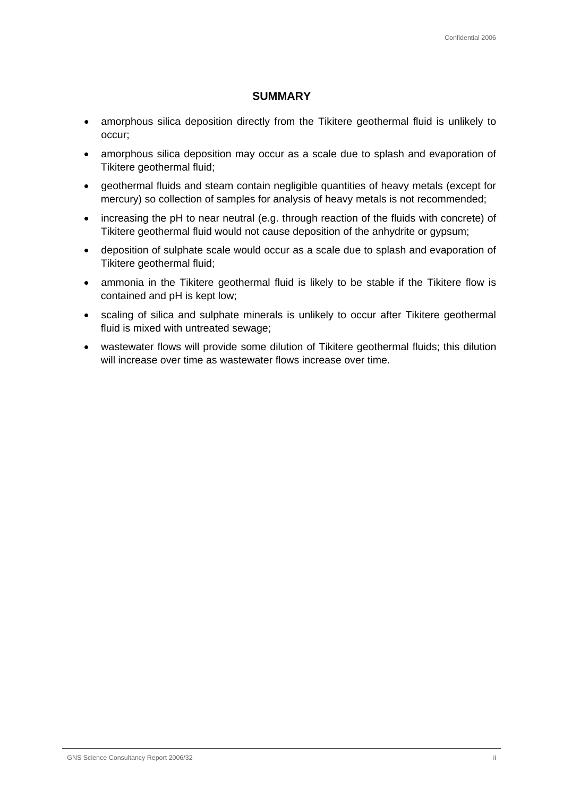### **SUMMARY**

- amorphous silica deposition directly from the Tikitere geothermal fluid is unlikely to occur;
- amorphous silica deposition may occur as a scale due to splash and evaporation of Tikitere geothermal fluid;
- geothermal fluids and steam contain negligible quantities of heavy metals (except for mercury) so collection of samples for analysis of heavy metals is not recommended;
- increasing the pH to near neutral (e.g. through reaction of the fluids with concrete) of Tikitere geothermal fluid would not cause deposition of the anhydrite or gypsum;
- deposition of sulphate scale would occur as a scale due to splash and evaporation of Tikitere geothermal fluid;
- ammonia in the Tikitere geothermal fluid is likely to be stable if the Tikitere flow is contained and pH is kept low;
- scaling of silica and sulphate minerals is unlikely to occur after Tikitere geothermal fluid is mixed with untreated sewage;
- wastewater flows will provide some dilution of Tikitere geothermal fluids; this dilution will increase over time as wastewater flows increase over time.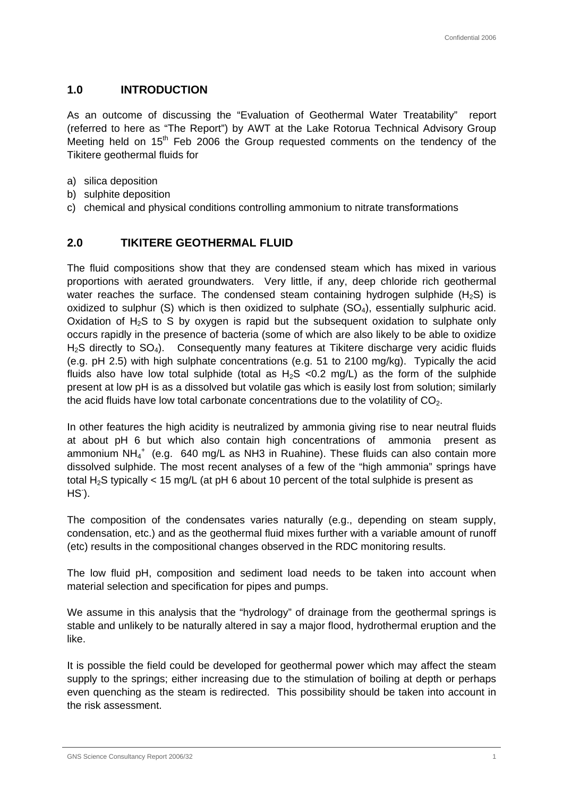### **1.0 INTRODUCTION**

As an outcome of discussing the "Evaluation of Geothermal Water Treatability" report (referred to here as "The Report") by AWT at the Lake Rotorua Technical Advisory Group Meeting held on 15<sup>th</sup> Feb 2006 the Group requested comments on the tendency of the Tikitere geothermal fluids for

- a) silica deposition
- b) sulphite deposition
- c) chemical and physical conditions controlling ammonium to nitrate transformations

### **2.0 TIKITERE GEOTHERMAL FLUID**

The fluid compositions show that they are condensed steam which has mixed in various proportions with aerated groundwaters. Very little, if any, deep chloride rich geothermal water reaches the surface. The condensed steam containing hydrogen sulphide  $(H_2S)$  is oxidized to sulphur  $(S)$  which is then oxidized to sulphate  $(SO<sub>4</sub>)$ , essentially sulphuric acid. Oxidation of  $H_2S$  to S by oxygen is rapid but the subsequent oxidation to sulphate only occurs rapidly in the presence of bacteria (some of which are also likely to be able to oxidize  $H<sub>2</sub>S$  directly to  $SO<sub>4</sub>$ ). Consequently many features at Tikitere discharge very acidic fluids (e.g. pH 2.5) with high sulphate concentrations (e.g. 51 to 2100 mg/kg). Typically the acid fluids also have low total sulphide (total as  $H_2S < 0.2$  mg/L) as the form of the sulphide present at low pH is as a dissolved but volatile gas which is easily lost from solution; similarly the acid fluids have low total carbonate concentrations due to the volatility of  $CO<sub>2</sub>$ .

In other features the high acidity is neutralized by ammonia giving rise to near neutral fluids at about pH 6 but which also contain high concentrations of ammonia present as ammonium NH $_4^+$  (e.g. 640 mg/L as NH3 in Ruahine). These fluids can also contain more dissolved sulphide. The most recent analyses of a few of the "high ammonia" springs have total H<sub>2</sub>S typically < 15 mg/L (at pH 6 about 10 percent of the total sulphide is present as  $HS$ ).

The composition of the condensates varies naturally (e.g., depending on steam supply, condensation, etc.) and as the geothermal fluid mixes further with a variable amount of runoff (etc) results in the compositional changes observed in the RDC monitoring results.

The low fluid pH, composition and sediment load needs to be taken into account when material selection and specification for pipes and pumps.

We assume in this analysis that the "hydrology" of drainage from the geothermal springs is stable and unlikely to be naturally altered in say a major flood, hydrothermal eruption and the like.

It is possible the field could be developed for geothermal power which may affect the steam supply to the springs; either increasing due to the stimulation of boiling at depth or perhaps even quenching as the steam is redirected. This possibility should be taken into account in the risk assessment.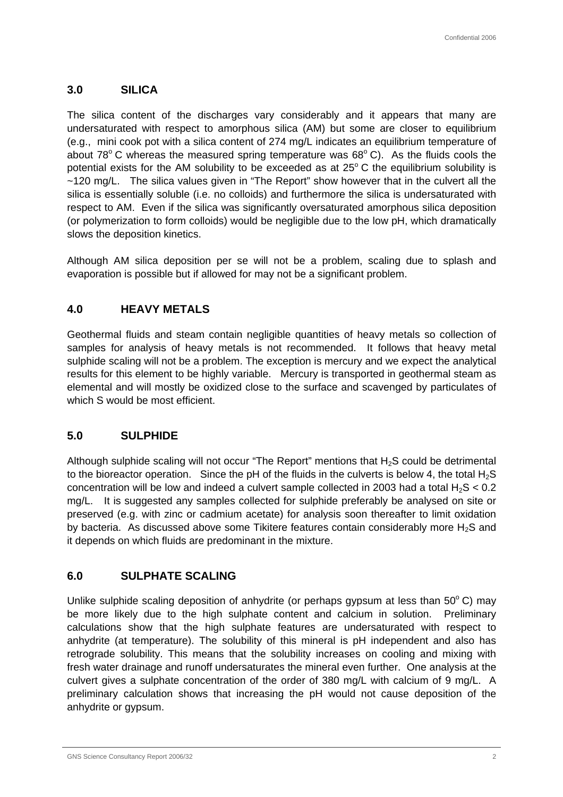# **3.0 SILICA**

The silica content of the discharges vary considerably and it appears that many are undersaturated with respect to amorphous silica (AM) but some are closer to equilibrium (e.g., mini cook pot with a silica content of 274 mg/L indicates an equilibrium temperature of about 78 $^{\circ}$  C whereas the measured spring temperature was 68 $^{\circ}$  C). As the fluids cools the potential exists for the AM solubility to be exceeded as at  $25^{\circ}$ C the equilibrium solubility is ~120 mg/L. The silica values given in "The Report" show however that in the culvert all the silica is essentially soluble (i.e. no colloids) and furthermore the silica is undersaturated with respect to AM. Even if the silica was significantly oversaturated amorphous silica deposition (or polymerization to form colloids) would be negligible due to the low pH, which dramatically slows the deposition kinetics.

Although AM silica deposition per se will not be a problem, scaling due to splash and evaporation is possible but if allowed for may not be a significant problem.

# **4.0 HEAVY METALS**

Geothermal fluids and steam contain negligible quantities of heavy metals so collection of samples for analysis of heavy metals is not recommended. It follows that heavy metal sulphide scaling will not be a problem. The exception is mercury and we expect the analytical results for this element to be highly variable. Mercury is transported in geothermal steam as elemental and will mostly be oxidized close to the surface and scavenged by particulates of which S would be most efficient.

### **5.0 SULPHIDE**

Although sulphide scaling will not occur "The Report" mentions that  $H_2S$  could be detrimental to the bioreactor operation. Since the pH of the fluids in the culverts is below 4, the total  $H_2S$ concentration will be low and indeed a culvert sample collected in 2003 had a total  $H_2S < 0.2$ mg/L. It is suggested any samples collected for sulphide preferably be analysed on site or preserved (e.g. with zinc or cadmium acetate) for analysis soon thereafter to limit oxidation by bacteria. As discussed above some Tikitere features contain considerably more  $H_2S$  and it depends on which fluids are predominant in the mixture.

## **6.0 SULPHATE SCALING**

Unlike sulphide scaling deposition of anhydrite (or perhaps gypsum at less than  $50^{\circ}$  C) may be more likely due to the high sulphate content and calcium in solution. Preliminary calculations show that the high sulphate features are undersaturated with respect to anhydrite (at temperature). The solubility of this mineral is pH independent and also has retrograde solubility. This means that the solubility increases on cooling and mixing with fresh water drainage and runoff undersaturates the mineral even further. One analysis at the culvert gives a sulphate concentration of the order of 380 mg/L with calcium of 9 mg/L. A preliminary calculation shows that increasing the pH would not cause deposition of the anhydrite or gypsum.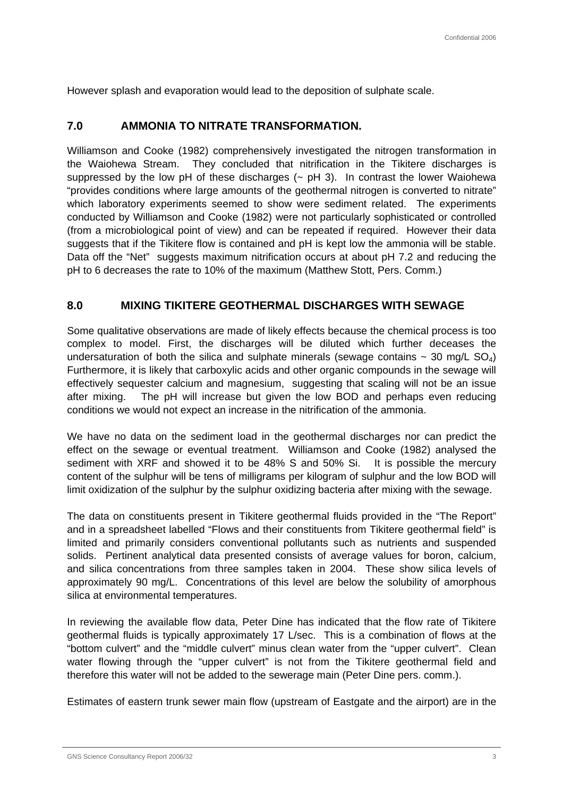However splash and evaporation would lead to the deposition of sulphate scale.

### **7.0 AMMONIA TO NITRATE TRANSFORMATION.**

Williamson and Cooke (1982) comprehensively investigated the nitrogen transformation in the Waiohewa Stream. They concluded that nitrification in the Tikitere discharges is suppressed by the low pH of these discharges  $(-$  pH 3). In contrast the lower Waiohewa "provides conditions where large amounts of the geothermal nitrogen is converted to nitrate" which laboratory experiments seemed to show were sediment related. The experiments conducted by Williamson and Cooke (1982) were not particularly sophisticated or controlled (from a microbiological point of view) and can be repeated if required. However their data suggests that if the Tikitere flow is contained and pH is kept low the ammonia will be stable. Data off the "Net" suggests maximum nitrification occurs at about pH 7.2 and reducing the pH to 6 decreases the rate to 10% of the maximum (Matthew Stott, Pers. Comm.)

## **8.0 MIXING TIKITERE GEOTHERMAL DISCHARGES WITH SEWAGE**

Some qualitative observations are made of likely effects because the chemical process is too complex to model. First, the discharges will be diluted which further deceases the undersaturation of both the silica and sulphate minerals (sewage contains  $\sim$  30 mg/L SO<sub>4</sub>) Furthermore, it is likely that carboxylic acids and other organic compounds in the sewage will effectively sequester calcium and magnesium, suggesting that scaling will not be an issue after mixing. The pH will increase but given the low BOD and perhaps even reducing conditions we would not expect an increase in the nitrification of the ammonia.

We have no data on the sediment load in the geothermal discharges nor can predict the effect on the sewage or eventual treatment. Williamson and Cooke (1982) analysed the sediment with XRF and showed it to be 48% S and 50% Si. It is possible the mercury content of the sulphur will be tens of milligrams per kilogram of sulphur and the low BOD will limit oxidization of the sulphur by the sulphur oxidizing bacteria after mixing with the sewage.

The data on constituents present in Tikitere geothermal fluids provided in the "The Report" and in a spreadsheet labelled "Flows and their constituents from Tikitere geothermal field" is limited and primarily considers conventional pollutants such as nutrients and suspended solids. Pertinent analytical data presented consists of average values for boron, calcium, and silica concentrations from three samples taken in 2004. These show silica levels of approximately 90 mg/L. Concentrations of this level are below the solubility of amorphous silica at environmental temperatures.

In reviewing the available flow data, Peter Dine has indicated that the flow rate of Tikitere geothermal fluids is typically approximately 17 L/sec. This is a combination of flows at the "bottom culvert" and the "middle culvert" minus clean water from the "upper culvert". Clean water flowing through the "upper culvert" is not from the Tikitere geothermal field and therefore this water will not be added to the sewerage main (Peter Dine pers. comm.).

Estimates of eastern trunk sewer main flow (upstream of Eastgate and the airport) are in the